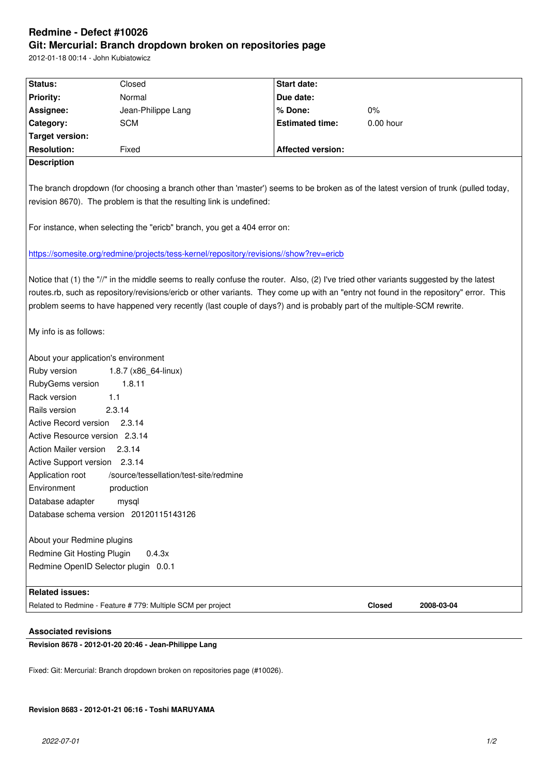#### **Git: Mercurial: Branch dropdown broken on repositories page**

2012-01-18 00:14 - John Kubiatowicz

| Status:                                                                                                                                | Closed                                                       | Start date:              |           |            |
|----------------------------------------------------------------------------------------------------------------------------------------|--------------------------------------------------------------|--------------------------|-----------|------------|
| <b>Priority:</b>                                                                                                                       | Normal                                                       | Due date:                |           |            |
| Assignee:                                                                                                                              | Jean-Philippe Lang                                           | % Done:                  | $0\%$     |            |
| Category:                                                                                                                              | <b>SCM</b>                                                   | <b>Estimated time:</b>   | 0.00 hour |            |
| <b>Target version:</b>                                                                                                                 |                                                              |                          |           |            |
| <b>Resolution:</b>                                                                                                                     | Fixed                                                        | <b>Affected version:</b> |           |            |
| <b>Description</b>                                                                                                                     |                                                              |                          |           |            |
|                                                                                                                                        |                                                              |                          |           |            |
| The branch dropdown (for choosing a branch other than 'master') seems to be broken as of the latest version of trunk (pulled today,    |                                                              |                          |           |            |
| revision 8670). The problem is that the resulting link is undefined:                                                                   |                                                              |                          |           |            |
|                                                                                                                                        |                                                              |                          |           |            |
| For instance, when selecting the "ericb" branch, you get a 404 error on:                                                               |                                                              |                          |           |            |
|                                                                                                                                        |                                                              |                          |           |            |
| https://somesite.org/redmine/projects/tess-kernel/repository/revisions//show?rev=ericb                                                 |                                                              |                          |           |            |
|                                                                                                                                        |                                                              |                          |           |            |
| Notice that (1) the "//" in the middle seems to really confuse the router. Also, (2) I've tried other variants suggested by the latest |                                                              |                          |           |            |
| routes.rb, such as repository/revisions/ericb or other variants. They come up with an "entry not found in the repository" error. This  |                                                              |                          |           |            |
| problem seems to have happened very recently (last couple of days?) and is probably part of the multiple-SCM rewrite.                  |                                                              |                          |           |            |
|                                                                                                                                        |                                                              |                          |           |            |
| My info is as follows:                                                                                                                 |                                                              |                          |           |            |
|                                                                                                                                        |                                                              |                          |           |            |
| About your application's environment                                                                                                   |                                                              |                          |           |            |
| Ruby version<br>1.8.7 (x86_64-linux)                                                                                                   |                                                              |                          |           |            |
| RubyGems version<br>1.8.11                                                                                                             |                                                              |                          |           |            |
| Rack version<br>1.1                                                                                                                    |                                                              |                          |           |            |
| Rails version                                                                                                                          | 2.3.14                                                       |                          |           |            |
| Active Record version 2.3.14                                                                                                           |                                                              |                          |           |            |
| Active Resource version 2.3.14                                                                                                         |                                                              |                          |           |            |
| Action Mailer version 2.3.14                                                                                                           |                                                              |                          |           |            |
| Active Support version 2.3.14                                                                                                          |                                                              |                          |           |            |
| Application root<br>/source/tessellation/test-site/redmine                                                                             |                                                              |                          |           |            |
| Environment<br>production                                                                                                              |                                                              |                          |           |            |
| Database adapter<br>mysql                                                                                                              |                                                              |                          |           |            |
| Database schema version 20120115143126                                                                                                 |                                                              |                          |           |            |
|                                                                                                                                        |                                                              |                          |           |            |
| About your Redmine plugins                                                                                                             |                                                              |                          |           |            |
| Redmine Git Hosting Plugin<br>0.4.3x<br>Redmine OpenID Selector plugin 0.0.1                                                           |                                                              |                          |           |            |
|                                                                                                                                        |                                                              |                          |           |            |
| <b>Related issues:</b>                                                                                                                 |                                                              |                          |           |            |
|                                                                                                                                        | Related to Redmine - Feature # 779: Multiple SCM per project |                          | Closed    | 2008-03-04 |
|                                                                                                                                        |                                                              |                          |           |            |

## **Associated revisions**

**Revision 8678 - 2012-01-20 20:46 - Jean-Philippe Lang**

Fixed: Git: Mercurial: Branch dropdown broken on repositories page (#10026).

### **Revision 8683 - 2012-01-21 06:16 - Toshi MARUYAMA**